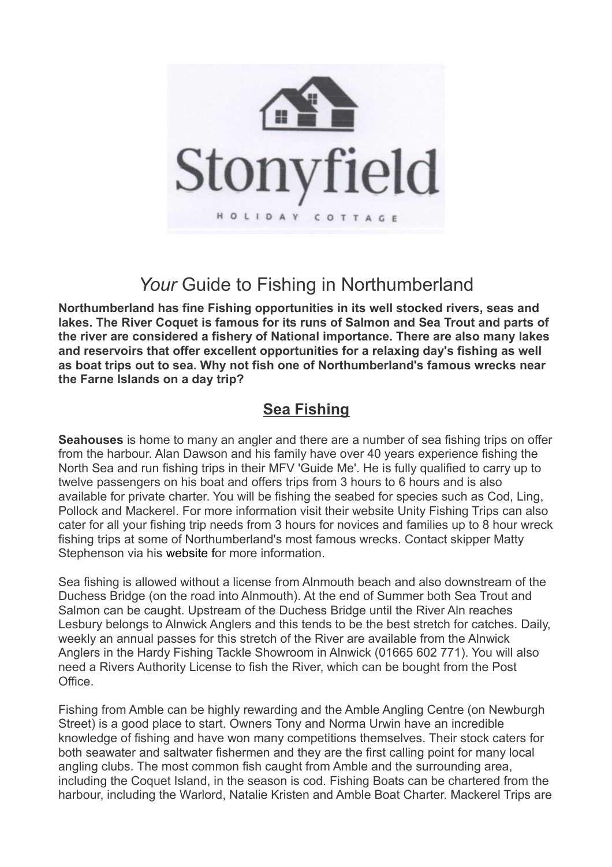

# Your Guide to Fishing in Northumberland

**Northumberland has fine Fishing opportunities in its well stocked rivers, seas and lakes. The River Coquet is famous for its runs of Salmon and Sea Trout and parts of the river are considered a fishery of National importance. There are also many lakes and reservoirs that offer excellent opportunities for a relaxing day's fishing as well as boat trips out to sea. Why not fish one of Northumberland's famous wrecks near the Farne Islands on a day trip?**

## **Sea Fishing**

**Seahouses** is home to many an angler and there are a number of sea fishing trips on offer from the harbour. Alan Dawson and his family have over 40 years experience fishing the North Sea and run fishing trips in their MFV 'Guide Me'. He is fully qualified to carry up to twelve passengers on his boat and offers trips from 3 hours to 6 hours and is also available for private charter. You will be fishing the seabed for species such as Cod, Ling, Pollock and Mackerel. For more information visit their website Unity Fishing Trips can also cater for all your fishing trip needs from 3 hours for novices and families up to 8 hour wreck fishing trips at some of Northumberland's most famous wrecks. Contact skipper Matty Stephenson via his website for more information.

Sea fishing is allowed without a license from Alnmouth beach and also downstream of the Duchess Bridge (on the road into Alnmouth). At the end of Summer both Sea Trout and Salmon can be caught. Upstream of the Duchess Bridge until the River Aln reaches Lesbury belongs to Alnwick Anglers and this tends to be the best stretch for catches. Daily, weekly an annual passes for this stretch of the River are available from the Alnwick Anglers in the Hardy Fishing Tackle Showroom in Alnwick (01665 602 771). You will also need a Rivers Authority License to fish the River, which can be bought from the Post Office.

Fishing from Amble can be highly rewarding and the Amble Angling Centre (on Newburgh Street) is a good place to start. Owners Tony and Norma Urwin have an incredible knowledge of fishing and have won many competitions themselves. Their stock caters for both seawater and saltwater fishermen and they are the first calling point for many local angling clubs. The most common fish caught from Amble and the surrounding area, including the Coquet Island, in the season is cod. Fishing Boats can be chartered from the harbour, including the Warlord, Natalie Kristen and Amble Boat Charter. Mackerel Trips are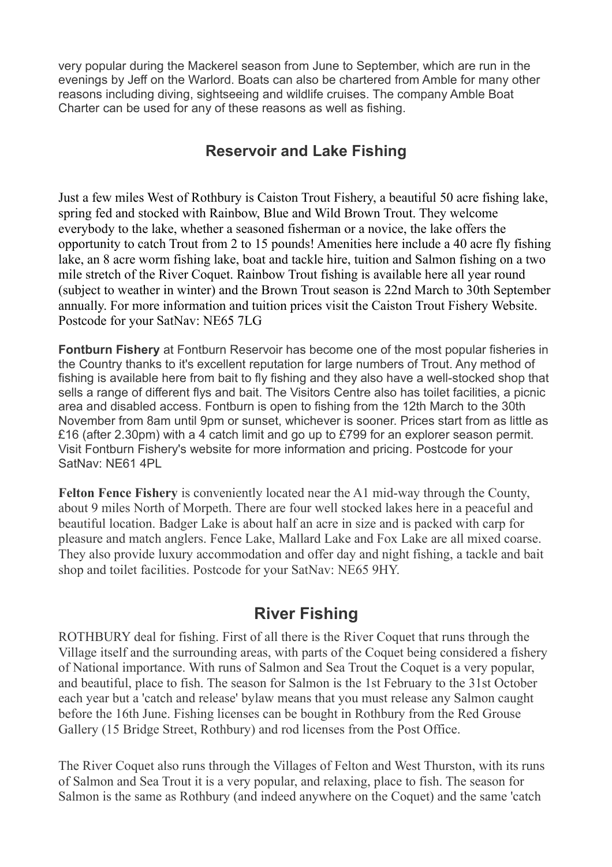very popular during the Mackerel season from June to September, which are run in the evenings by Jeff on the Warlord. Boats can also be chartered from Amble for many other reasons including diving, sightseeing and wildlife cruises. The company Amble Boat Charter can be used for any of these reasons as well as fishing.

### **Reservoir and Lake Fishing**

Just a few miles West of Rothbury is Caiston Trout Fishery, a beautiful 50 acre fishing lake, spring fed and stocked with Rainbow, Blue and Wild Brown Trout. They welcome everybody to the lake, whether a seasoned fisherman or a novice, the lake offers the opportunity to catch Trout from 2 to 15 pounds! Amenities here include a 40 acre fly fishing lake, an 8 acre worm fishing lake, boat and tackle hire, tuition and Salmon fishing on a two mile stretch of the River Coquet. Rainbow Trout fishing is available here all year round (subject to weather in winter) and the Brown Trout season is 22nd March to 30th September annually. For more information and tuition prices visit the Caiston Trout Fishery Website. Postcode for your SatNav: NE65 7LG

**Fontburn Fishery** at Fontburn Reservoir has become one of the most popular fisheries in the Country thanks to it's excellent reputation for large numbers of Trout. Any method of fishing is available here from bait to fly fishing and they also have a well-stocked shop that sells a range of different flys and bait. The Visitors Centre also has toilet facilities, a picnic area and disabled access. Fontburn is open to fishing from the 12th March to the 30th November from 8am until 9pm or sunset, whichever is sooner. Prices start from as little as £16 (after 2.30pm) with a 4 catch limit and go up to £799 for an explorer season permit. Visit Fontburn Fishery's website for more information and pricing. Postcode for your SatNav: NE61 4PL

**Felton Fence Fishery** is conveniently located near the A1 mid-way through the County, about 9 miles North of Morpeth. There are four well stocked lakes here in a peaceful and beautiful location. Badger Lake is about half an acre in size and is packed with carp for pleasure and match anglers. Fence Lake, Mallard Lake and Fox Lake are all mixed coarse. They also provide luxury accommodation and offer day and night fishing, a tackle and bait shop and toilet facilities. Postcode for your SatNav: NE65 9HY.

## **River Fishing**

ROTHBURY deal for fishing. First of all there is the River Coquet that runs through the Village itself and the surrounding areas, with parts of the Coquet being considered a fishery of National importance. With runs of Salmon and Sea Trout the Coquet is a very popular, and beautiful, place to fish. The season for Salmon is the 1st February to the 31st October each year but a 'catch and release' bylaw means that you must release any Salmon caught before the 16th June. Fishing licenses can be bought in Rothbury from the Red Grouse Gallery (15 Bridge Street, Rothbury) and rod licenses from the Post Office.

The River Coquet also runs through the Villages of Felton and West Thurston, with its runs of Salmon and Sea Trout it is a very popular, and relaxing, place to fish. The season for Salmon is the same as Rothbury (and indeed anywhere on the Coquet) and the same 'catch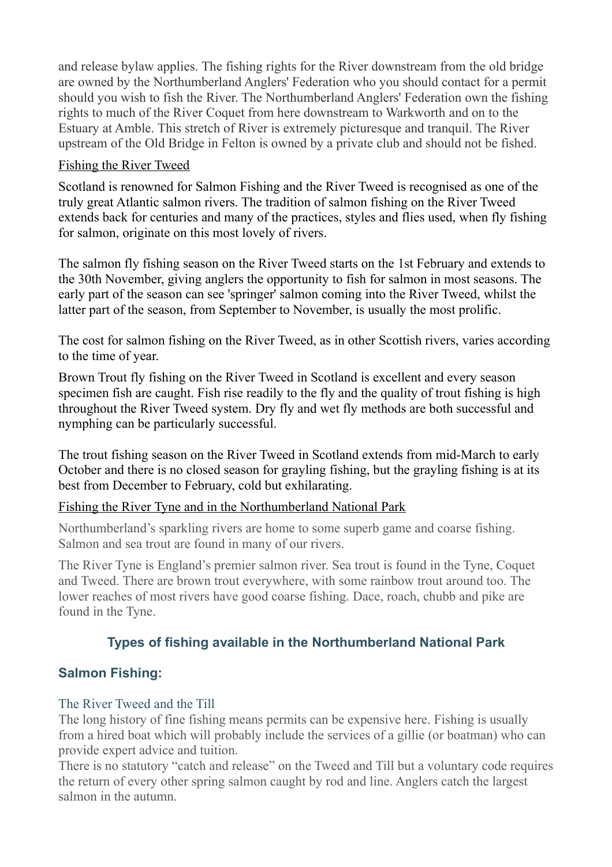and release bylaw applies. The fishing rights for the River downstream from the old bridge are owned by the Northumberland Anglers' Federation who you should contact for a permit should you wish to fish the River. The Northumberland Anglers' Federation own the fishing rights to much of the River Coquet from here downstream to Warkworth and on to the Estuary at Amble. This stretch of River is extremely picturesque and tranquil. The River upstream of the Old Bridge in Felton is owned by a private club and should not be fished.

#### Fishing the River Tweed

Scotland is renowned for Salmon Fishing and the River Tweed is recognised as one of the truly great Atlantic salmon rivers. The tradition of salmon fishing on the River Tweed extends back for centuries and many of the practices, styles and flies used, when fly fishing for salmon, originate on this most lovely of rivers.

The salmon fly fishing season on the River Tweed starts on the 1st February and extends to the 30th November, giving anglers the opportunity to fish for salmon in most seasons. The early part of the season can see 'springer' salmon coming into the River Tweed, whilst the latter part of the season, from September to November, is usually the most prolific.

The cost for salmon fishing on the River Tweed, as in other Scottish rivers, varies according to the time of year.

Brown Trout fly fishing on the River Tweed in Scotland is excellent and every season specimen fish are caught. Fish rise readily to the fly and the quality of trout fishing is high throughout the River Tweed system. Dry fly and wet fly methods are both successful and nymphing can be particularly successful.

The trout fishing season on the River Tweed in Scotland extends from mid-March to early October and there is no closed season for grayling fishing, but the grayling fishing is at its best from December to February, cold but exhilarating.

#### Fishing the River Tyne and in the Northumberland National Park

Northumberland's sparkling rivers are home to some superb game and coarse fishing. Salmon and sea trout are found in many of our rivers.

The River Tyne is England's premier salmon river. Sea trout is found in the Tyne, Coquet and Tweed. There are brown trout everywhere, with some rainbow trout around too. The lower reaches of most rivers have good coarse fishing. Dace, roach, chubb and pike are found in the Tyne.

#### **Types of fishing available in the Northumberland National Park**

#### **Salmon Fishing:**

#### The River Tweed and the Till

The long history of fine fishing means permits can be expensive here. Fishing is usually from a hired boat which will probably include the services of a gillie (or boatman) who can provide expert advice and tuition.

There is no statutory "catch and release" on the Tweed and Till but a voluntary code requires the return of every other spring salmon caught by rod and line. Anglers catch the largest salmon in the autumn.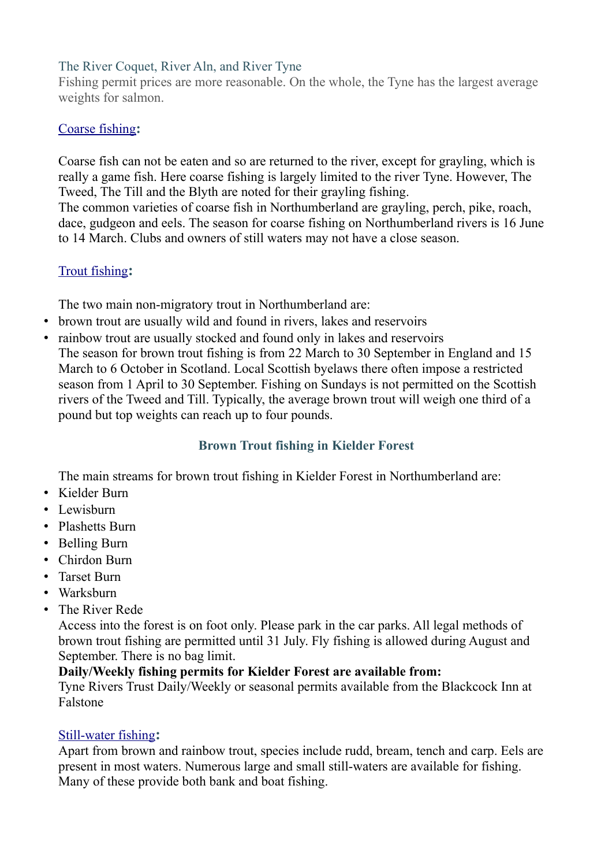#### The River Coquet, River Aln, and River Tyne

Fishing permit prices are more reasonable. On the whole, the Tyne has the largest average weights for salmon.

#### [Coarse fishing](https://www.northumberlandnationalpark.org.uk/things-to-do/get-active-outdoors/fishing/)**:**

Coarse fish can not be eaten and so are returned to the river, except for grayling, which is really a game fish. Here coarse fishing is largely limited to the river Tyne. However, The Tweed, The Till and the Blyth are noted for their grayling fishing.

The common varieties of coarse fish in Northumberland are grayling, perch, pike, roach, dace, gudgeon and eels. The season for coarse fishing on Northumberland rivers is 16 June to 14 March. Clubs and owners of still waters may not have a close season.

#### [Trout fishing](https://www.northumberlandnationalpark.org.uk/things-to-do/get-active-outdoors/fishing/)**:**

The two main non-migratory trout in Northumberland are:

- brown trout are usually wild and found in rivers, lakes and reservoirs
- rainbow trout are usually stocked and found only in lakes and reservoirs The season for brown trout fishing is from 22 March to 30 September in England and 15 March to 6 October in Scotland. Local Scottish byelaws there often impose a restricted season from 1 April to 30 September. Fishing on Sundays is not permitted on the Scottish rivers of the Tweed and Till. Typically, the average brown trout will weigh one third of a pound but top weights can reach up to four pounds.

#### **[Brown Trout fishing in Kielder Forest](https://www.northumberlandnationalpark.org.uk/things-to-do/get-active-outdoors/fishing/)**

The main streams for brown trout fishing in Kielder Forest in Northumberland are:

- Kielder Burn
- Lewisburn
- Plashetts Burn
- Belling Burn
- Chirdon Burn
- Tarset Burn
- Warksburn
- The River Rede

Access into the forest is on foot only. Please park in the car parks. All legal methods of brown trout fishing are permitted until 31 July. Fly fishing is allowed during August and September. There is no bag limit.

#### **Daily/Weekly fishing permits for Kielder Forest are available from:**

Tyne Rivers Trust Daily/Weekly or seasonal permits available from the Blackcock Inn at Falstone

#### [Still-water fishing](https://www.northumberlandnationalpark.org.uk/things-to-do/get-active-outdoors/fishing/)**:**

Apart from brown and rainbow trout, species include rudd, bream, tench and carp. Eels are present in most waters. Numerous large and small still-waters are available for fishing. Many of these provide both bank and boat fishing.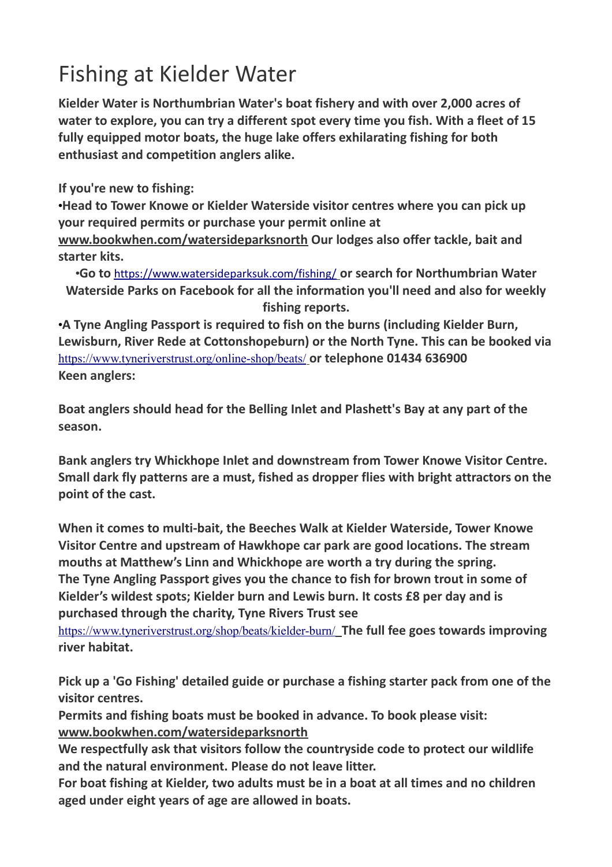# Fishing at Kielder Water

**Kielder Water is Northumbrian Water's boat fishery and with over 2,000 acres of water to explore, you can try a different spot every time you fish. With a fleet of 15 fully equipped motor boats, the huge lake offers exhilarating fishing for both enthusiast and competition anglers alike.**

**If you're new to fishing:**

•**Head to Tower Knowe or Kielder Waterside visitor centres where you can pick up your required permits or purchase your permit online at [www.bookwhen.com/watersideparksnorth](http://www.bookwhen.com/watersideparksnorth) Our lodges also offer tackle, bait and starter kits.**

•**Go to** <https://www.watersideparksuk.com/fishing/> **or search for Northumbrian Water Waterside Parks on Facebook for all the information you'll need and also for weekly fishing reports.**

•**A Tyne Angling Passport is required to fish on the burns (including Kielder Burn, Lewisburn, River Rede at Cottonshopeburn) or the North Tyne. This can be booked via** <https://www.tyneriverstrust.org/online-shop/beats/> **or telephone 01434 636900 Keen anglers:**

**Boat anglers should head for the Belling Inlet and Plashett's Bay at any part of the season.**

**Bank anglers try Whickhope Inlet and downstream from Tower Knowe Visitor Centre. Small dark fly patterns are a must, fished as dropper flies with bright attractors on the point of the cast.**

**When it comes to multi-bait, the Beeches Walk at Kielder Waterside, Tower Knowe Visitor Centre and upstream of Hawkhope car park are good locations. The stream mouths at Matthew's Linn and Whickhope are worth a try during the spring. The Tyne Angling Passport gives you the chance to fish for brown trout in some of Kielder's wildest spots; Kielder burn and Lewis burn. It costs £8 per day and is purchased through the charity, Tyne Rivers Trust see** 

<https://www.tyneriverstrust.org/shop/beats/kielder-burn/> **The full fee goes towards improving river habitat.**

**Pick up a 'Go Fishing' detailed guide or purchase a fishing starter pack from one of the visitor centres.**

**Permits and fishing boats must be booked in advance. To book please visit: [www.bookwhen.com/watersideparksnorth](http://www.bookwhen.com/watersideparksnorth)**

**We respectfully ask that visitors follow the countryside code to protect our wildlife and the natural environment. Please do not leave litter.**

**For boat fishing at Kielder, two adults must be in a boat at all times and no children aged under eight years of age are allowed in boats.**